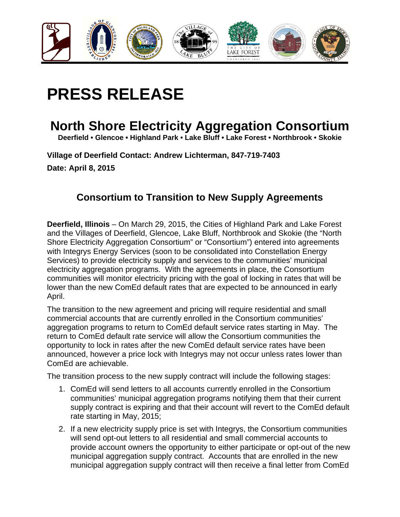

## **PRESS RELEASE**

## **North Shore Electricity Aggregation Consortium**

**Deerfield • Glencoe • Highland Park • Lake Bluff • Lake Forest • Northbrook • Skokie** 

**Village of Deerfield Contact: Andrew Lichterman, 847-719-7403 Date: April 8, 2015** 

## **Consortium to Transition to New Supply Agreements**

**Deerfield, Illinois** – On March 29, 2015, the Cities of Highland Park and Lake Forest and the Villages of Deerfield, Glencoe, Lake Bluff, Northbrook and Skokie (the "North Shore Electricity Aggregation Consortium" or "Consortium") entered into agreements with Integrys Energy Services (soon to be consolidated into Constellation Energy Services) to provide electricity supply and services to the communities' municipal electricity aggregation programs. With the agreements in place, the Consortium communities will monitor electricity pricing with the goal of locking in rates that will be lower than the new ComEd default rates that are expected to be announced in early April.

The transition to the new agreement and pricing will require residential and small commercial accounts that are currently enrolled in the Consortium communities' aggregation programs to return to ComEd default service rates starting in May. The return to ComEd default rate service will allow the Consortium communities the opportunity to lock in rates after the new ComEd default service rates have been announced, however a price lock with Integrys may not occur unless rates lower than ComEd are achievable.

The transition process to the new supply contract will include the following stages:

- 1. ComEd will send letters to all accounts currently enrolled in the Consortium communities' municipal aggregation programs notifying them that their current supply contract is expiring and that their account will revert to the ComEd default rate starting in May, 2015;
- 2. If a new electricity supply price is set with Integrys, the Consortium communities will send opt-out letters to all residential and small commercial accounts to provide account owners the opportunity to either participate or opt-out of the new municipal aggregation supply contract. Accounts that are enrolled in the new municipal aggregation supply contract will then receive a final letter from ComEd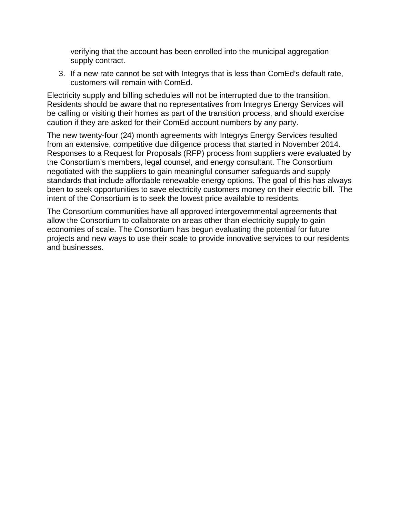verifying that the account has been enrolled into the municipal aggregation supply contract.

3. If a new rate cannot be set with Integrys that is less than ComEd's default rate, customers will remain with ComEd.

Electricity supply and billing schedules will not be interrupted due to the transition. Residents should be aware that no representatives from Integrys Energy Services will be calling or visiting their homes as part of the transition process, and should exercise caution if they are asked for their ComEd account numbers by any party.

The new twenty-four (24) month agreements with Integrys Energy Services resulted from an extensive, competitive due diligence process that started in November 2014. Responses to a Request for Proposals (RFP) process from suppliers were evaluated by the Consortium's members, legal counsel, and energy consultant. The Consortium negotiated with the suppliers to gain meaningful consumer safeguards and supply standards that include affordable renewable energy options. The goal of this has always been to seek opportunities to save electricity customers money on their electric bill. The intent of the Consortium is to seek the lowest price available to residents.

The Consortium communities have all approved intergovernmental agreements that allow the Consortium to collaborate on areas other than electricity supply to gain economies of scale. The Consortium has begun evaluating the potential for future projects and new ways to use their scale to provide innovative services to our residents and businesses.